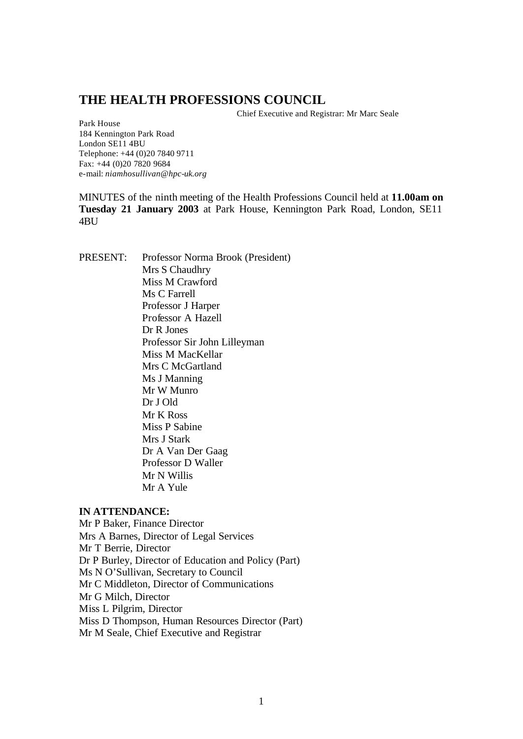# **THE HEALTH PROFESSIONS COUNCIL**

Chief Executive and Registrar: Mr Marc Seale

Park House 184 Kennington Park Road London SE11 4BU Telephone: +44 (0)20 7840 9711 Fax: +44 (0)20 7820 9684 e-mail: *niamhosullivan@hpc-uk.org*

MINUTES of the ninth meeting of the Health Professions Council held at **11.00am on Tuesday 21 January 2003** at Park House, Kennington Park Road, London, SE11 4BU

PRESENT: Professor Norma Brook (President) Mrs S Chaudhry Miss M Crawford Ms C Farrell Professor J Harper Professor A Hazell Dr R Jones Professor Sir John Lilleyman Miss M MacKellar Mrs C McGartland Ms J Manning Mr W Munro Dr J Old Mr K Ross Miss P Sabine Mrs J Stark Dr A Van Der Gaag Professor D Waller Mr N Willis Mr A Yule

### **IN ATTENDANCE:**

Mr P Baker, Finance Director Mrs A Barnes, Director of Legal Services Mr T Berrie, Director Dr P Burley, Director of Education and Policy (Part) Ms N O'Sullivan, Secretary to Council Mr C Middleton, Director of Communications Mr G Milch, Director Miss L Pilgrim, Director Miss D Thompson, Human Resources Director (Part) Mr M Seale, Chief Executive and Registrar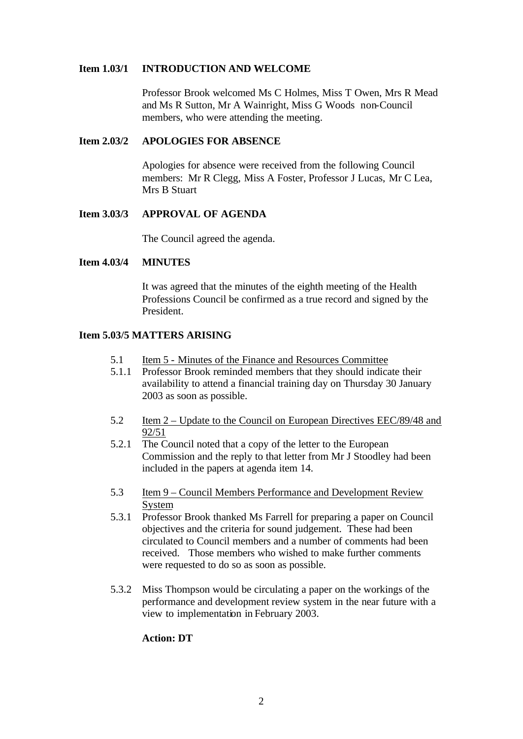#### **Item 1.03/1 INTRODUCTION AND WELCOME**

Professor Brook welcomed Ms C Holmes, Miss T Owen, Mrs R Mead and Ms R Sutton, Mr A Wainright, Miss G Woods non-Council members, who were attending the meeting.

#### **Item 2.03/2 APOLOGIES FOR ABSENCE**

Apologies for absence were received from the following Council members: Mr R Clegg, Miss A Foster, Professor J Lucas, Mr C Lea, Mrs B Stuart

#### **Item 3.03/3 APPROVAL OF AGENDA**

The Council agreed the agenda.

#### **Item 4.03/4 MINUTES**

It was agreed that the minutes of the eighth meeting of the Health Professions Council be confirmed as a true record and signed by the President.

#### **Item 5.03/5 MATTERS ARISING**

- 5.1 Item 5 Minutes of the Finance and Resources Committee
- 5.1.1 Professor Brook reminded members that they should indicate their availability to attend a financial training day on Thursday 30 January 2003 as soon as possible.
- 5.2 Item 2 Update to the Council on European Directives EEC/89/48 and 92/51
- 5.2.1 The Council noted that a copy of the letter to the European Commission and the reply to that letter from Mr J Stoodley had been included in the papers at agenda item 14.
- 5.3 Item 9 Council Members Performance and Development Review System
- 5.3.1 Professor Brook thanked Ms Farrell for preparing a paper on Council objectives and the criteria for sound judgement. These had been circulated to Council members and a number of comments had been received. Those members who wished to make further comments were requested to do so as soon as possible.
- 5.3.2 Miss Thompson would be circulating a paper on the workings of the performance and development review system in the near future with a view to implementation in February 2003.

#### **Action: DT**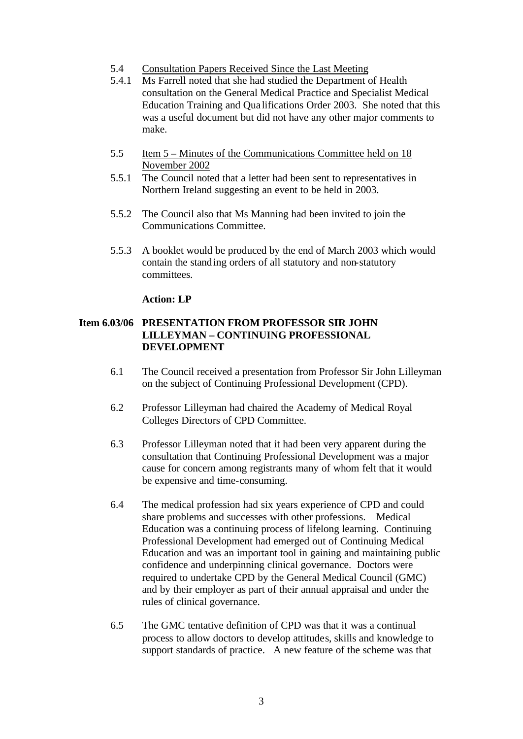- 5.4 Consultation Papers Received Since the Last Meeting
- 5.4.1 Ms Farrell noted that she had studied the Department of Health consultation on the General Medical Practice and Specialist Medical Education Training and Qua lifications Order 2003. She noted that this was a useful document but did not have any other major comments to make.
- 5.5 Item 5 Minutes of the Communications Committee held on 18 November 2002
- 5.5.1 The Council noted that a letter had been sent to representatives in Northern Ireland suggesting an event to be held in 2003.
- 5.5.2 The Council also that Ms Manning had been invited to join the Communications Committee.
- 5.5.3 A booklet would be produced by the end of March 2003 which would contain the standing orders of all statutory and non-statutory committees.

#### **Action: LP**

### **Item 6.03/06 PRESENTATION FROM PROFESSOR SIR JOHN LILLEYMAN – CONTINUING PROFESSIONAL DEVELOPMENT**

- 6.1 The Council received a presentation from Professor Sir John Lilleyman on the subject of Continuing Professional Development (CPD).
- 6.2 Professor Lilleyman had chaired the Academy of Medical Royal Colleges Directors of CPD Committee.
- 6.3 Professor Lilleyman noted that it had been very apparent during the consultation that Continuing Professional Development was a major cause for concern among registrants many of whom felt that it would be expensive and time-consuming.
- 6.4 The medical profession had six years experience of CPD and could share problems and successes with other professions. Medical Education was a continuing process of lifelong learning. Continuing Professional Development had emerged out of Continuing Medical Education and was an important tool in gaining and maintaining public confidence and underpinning clinical governance. Doctors were required to undertake CPD by the General Medical Council (GMC) and by their employer as part of their annual appraisal and under the rules of clinical governance.
- 6.5 The GMC tentative definition of CPD was that it was a continual process to allow doctors to develop attitudes, skills and knowledge to support standards of practice. A new feature of the scheme was that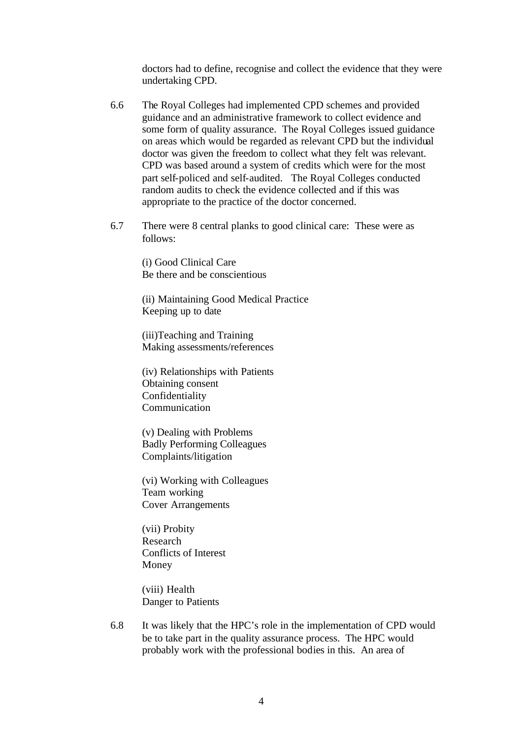doctors had to define, recognise and collect the evidence that they were undertaking CPD.

- 6.6 The Royal Colleges had implemented CPD schemes and provided guidance and an administrative framework to collect evidence and some form of quality assurance. The Royal Colleges issued guidance on areas which would be regarded as relevant CPD but the individual doctor was given the freedom to collect what they felt was relevant. CPD was based around a system of credits which were for the most part self-policed and self-audited. The Royal Colleges conducted random audits to check the evidence collected and if this was appropriate to the practice of the doctor concerned.
- 6.7 There were 8 central planks to good clinical care: These were as follows:

(i) Good Clinical Care Be there and be conscientious

(ii) Maintaining Good Medical Practice Keeping up to date

(iii)Teaching and Training Making assessments/references

(iv) Relationships with Patients Obtaining consent Confidentiality Communication

(v) Dealing with Problems Badly Performing Colleagues Complaints/litigation

(vi) Working with Colleagues Team working Cover Arrangements

(vii) Probity Research Conflicts of Interest Money

(viii) Health Danger to Patients

6.8 It was likely that the HPC's role in the implementation of CPD would be to take part in the quality assurance process. The HPC would probably work with the professional bodies in this. An area of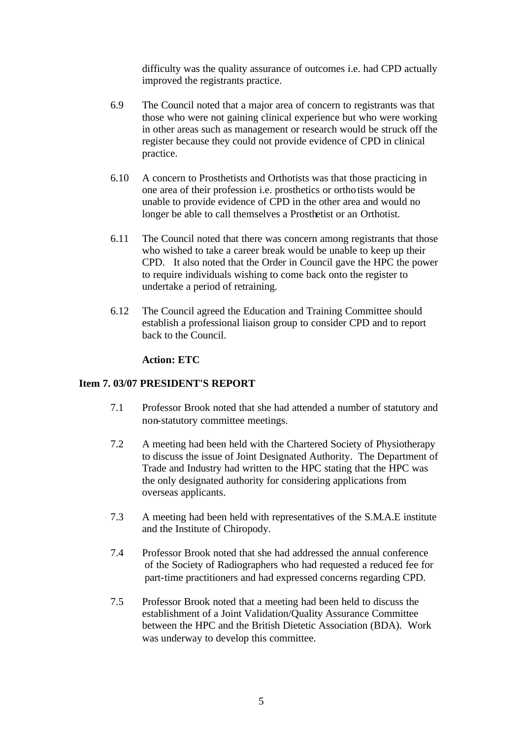difficulty was the quality assurance of outcomes i.e. had CPD actually improved the registrants practice.

- 6.9 The Council noted that a major area of concern to registrants was that those who were not gaining clinical experience but who were working in other areas such as management or research would be struck off the register because they could not provide evidence of CPD in clinical practice.
- 6.10 A concern to Prosthetists and Orthotists was that those practicing in one area of their profession i.e. prosthetics or orthotists would be unable to provide evidence of CPD in the other area and would no longer be able to call themselves a Prosthetist or an Orthotist.
- 6.11 The Council noted that there was concern among registrants that those who wished to take a career break would be unable to keep up their CPD. It also noted that the Order in Council gave the HPC the power to require individuals wishing to come back onto the register to undertake a period of retraining.
- 6.12 The Council agreed the Education and Training Committee should establish a professional liaison group to consider CPD and to report back to the Council.

# **Action: ETC**

#### **Item 7. 03/07 PRESIDENT'S REPORT**

- 7.1 Professor Brook noted that she had attended a number of statutory and non-statutory committee meetings.
- 7.2 A meeting had been held with the Chartered Society of Physiotherapy to discuss the issue of Joint Designated Authority. The Department of Trade and Industry had written to the HPC stating that the HPC was the only designated authority for considering applications from overseas applicants.
- 7.3 A meeting had been held with representatives of the S.M.A.E institute and the Institute of Chiropody.
- 7.4 Professor Brook noted that she had addressed the annual conference of the Society of Radiographers who had requested a reduced fee for part-time practitioners and had expressed concerns regarding CPD.
- 7.5 Professor Brook noted that a meeting had been held to discuss the establishment of a Joint Validation/Quality Assurance Committee between the HPC and the British Dietetic Association (BDA). Work was underway to develop this committee.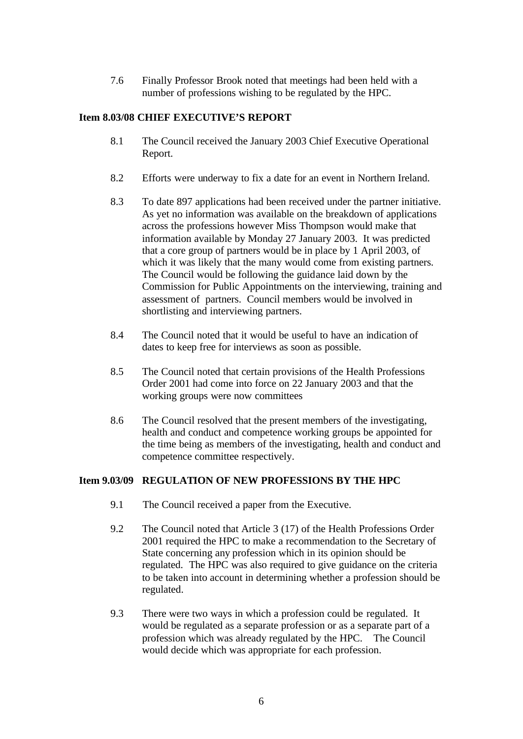7.6 Finally Professor Brook noted that meetings had been held with a number of professions wishing to be regulated by the HPC.

# **Item 8.03/08 CHIEF EXECUTIVE'S REPORT**

- 8.1 The Council received the January 2003 Chief Executive Operational Report.
- 8.2 Efforts were underway to fix a date for an event in Northern Ireland.
- 8.3 To date 897 applications had been received under the partner initiative. As yet no information was available on the breakdown of applications across the professions however Miss Thompson would make that information available by Monday 27 January 2003. It was predicted that a core group of partners would be in place by 1 April 2003, of which it was likely that the many would come from existing partners. The Council would be following the guidance laid down by the Commission for Public Appointments on the interviewing, training and assessment of partners. Council members would be involved in shortlisting and interviewing partners.
- 8.4 The Council noted that it would be useful to have an indication of dates to keep free for interviews as soon as possible.
- 8.5 The Council noted that certain provisions of the Health Professions Order 2001 had come into force on 22 January 2003 and that the working groups were now committees
- 8.6 The Council resolved that the present members of the investigating, health and conduct and competence working groups be appointed for the time being as members of the investigating, health and conduct and competence committee respectively.

#### **Item 9.03/09 REGULATION OF NEW PROFESSIONS BY THE HPC**

- 9.1 The Council received a paper from the Executive.
- 9.2 The Council noted that Article 3 (17) of the Health Professions Order 2001 required the HPC to make a recommendation to the Secretary of State concerning any profession which in its opinion should be regulated. The HPC was also required to give guidance on the criteria to be taken into account in determining whether a profession should be regulated.
- 9.3 There were two ways in which a profession could be regulated. It would be regulated as a separate profession or as a separate part of a profession which was already regulated by the HPC. The Council would decide which was appropriate for each profession.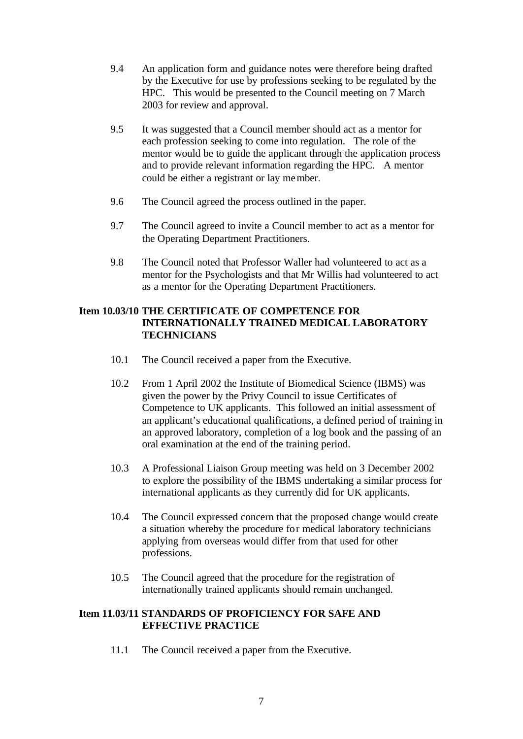- 9.4 An application form and guidance notes were therefore being drafted by the Executive for use by professions seeking to be regulated by the HPC. This would be presented to the Council meeting on 7 March 2003 for review and approval.
- 9.5 It was suggested that a Council member should act as a mentor for each profession seeking to come into regulation. The role of the mentor would be to guide the applicant through the application process and to provide relevant information regarding the HPC. A mentor could be either a registrant or lay member.
- 9.6 The Council agreed the process outlined in the paper.
- 9.7 The Council agreed to invite a Council member to act as a mentor for the Operating Department Practitioners.
- 9.8 The Council noted that Professor Waller had volunteered to act as a mentor for the Psychologists and that Mr Willis had volunteered to act as a mentor for the Operating Department Practitioners.

# **Item 10.03/10 THE CERTIFICATE OF COMPETENCE FOR INTERNATIONALLY TRAINED MEDICAL LABORATORY TECHNICIANS**

- 10.1 The Council received a paper from the Executive.
- 10.2 From 1 April 2002 the Institute of Biomedical Science (IBMS) was given the power by the Privy Council to issue Certificates of Competence to UK applicants. This followed an initial assessment of an applicant's educational qualifications, a defined period of training in an approved laboratory, completion of a log book and the passing of an oral examination at the end of the training period.
- 10.3 A Professional Liaison Group meeting was held on 3 December 2002 to explore the possibility of the IBMS undertaking a similar process for international applicants as they currently did for UK applicants.
- 10.4 The Council expressed concern that the proposed change would create a situation whereby the procedure for medical laboratory technicians applying from overseas would differ from that used for other professions.
- 10.5 The Council agreed that the procedure for the registration of internationally trained applicants should remain unchanged.

### **Item 11.03/11 STANDARDS OF PROFICIENCY FOR SAFE AND EFFECTIVE PRACTICE**

11.1 The Council received a paper from the Executive.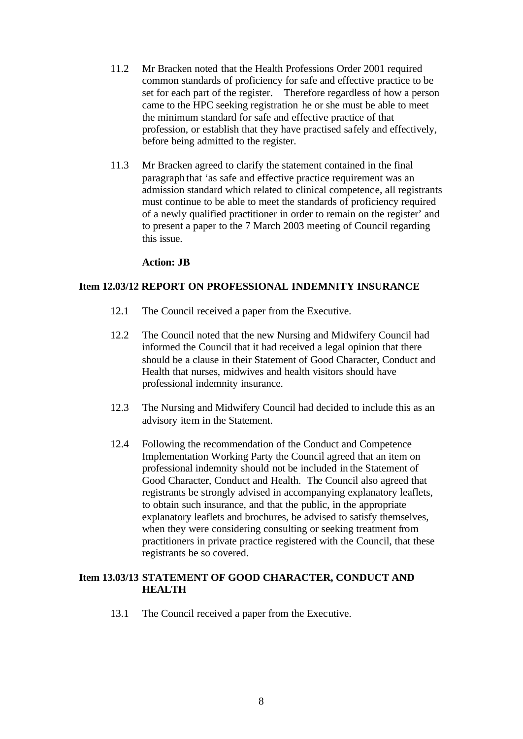- 11.2 Mr Bracken noted that the Health Professions Order 2001 required common standards of proficiency for safe and effective practice to be set for each part of the register. Therefore regardless of how a person came to the HPC seeking registration he or she must be able to meet the minimum standard for safe and effective practice of that profession, or establish that they have practised safely and effectively, before being admitted to the register.
- 11.3 Mr Bracken agreed to clarify the statement contained in the final paragraph that 'as safe and effective practice requirement was an admission standard which related to clinical competence, all registrants must continue to be able to meet the standards of proficiency required of a newly qualified practitioner in order to remain on the register' and to present a paper to the 7 March 2003 meeting of Council regarding this issue.

#### **Action: JB**

#### **Item 12.03/12 REPORT ON PROFESSIONAL INDEMNITY INSURANCE**

- 12.1 The Council received a paper from the Executive.
- 12.2 The Council noted that the new Nursing and Midwifery Council had informed the Council that it had received a legal opinion that there should be a clause in their Statement of Good Character, Conduct and Health that nurses, midwives and health visitors should have professional indemnity insurance.
- 12.3 The Nursing and Midwifery Council had decided to include this as an advisory item in the Statement.
- 12.4 Following the recommendation of the Conduct and Competence Implementation Working Party the Council agreed that an item on professional indemnity should not be included in the Statement of Good Character, Conduct and Health. The Council also agreed that registrants be strongly advised in accompanying explanatory leaflets, to obtain such insurance, and that the public, in the appropriate explanatory leaflets and brochures, be advised to satisfy themselves, when they were considering consulting or seeking treatment from practitioners in private practice registered with the Council, that these registrants be so covered.

#### **Item 13.03/13 STATEMENT OF GOOD CHARACTER, CONDUCT AND HEALTH**

13.1 The Council received a paper from the Executive.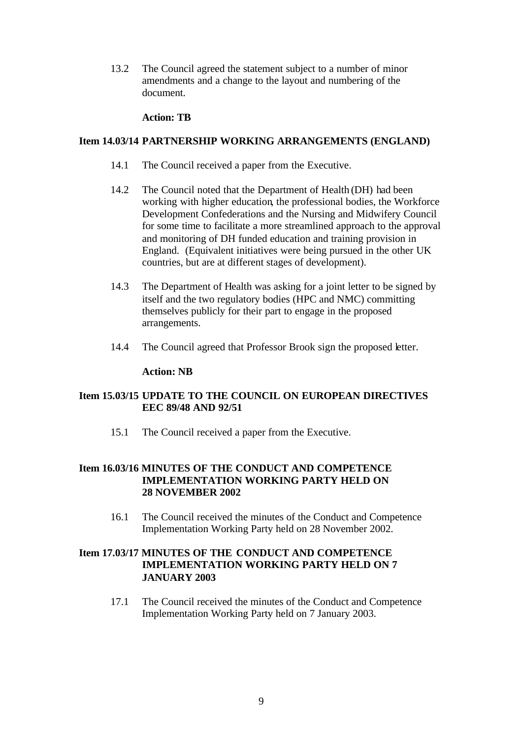13.2 The Council agreed the statement subject to a number of minor amendments and a change to the layout and numbering of the document.

# **Action: TB**

#### **Item 14.03/14 PARTNERSHIP WORKING ARRANGEMENTS (ENGLAND)**

- 14.1 The Council received a paper from the Executive.
- 14.2 The Council noted that the Department of Health (DH) had been working with higher education, the professional bodies, the Workforce Development Confederations and the Nursing and Midwifery Council for some time to facilitate a more streamlined approach to the approval and monitoring of DH funded education and training provision in England. (Equivalent initiatives were being pursued in the other UK countries, but are at different stages of development).
- 14.3 The Department of Health was asking for a joint letter to be signed by itself and the two regulatory bodies (HPC and NMC) committing themselves publicly for their part to engage in the proposed arrangements.
- 14.4 The Council agreed that Professor Brook sign the proposed letter.

#### **Action: NB**

# **Item 15.03/15 UPDATE TO THE COUNCIL ON EUROPEAN DIRECTIVES EEC 89/48 AND 92/51**

15.1 The Council received a paper from the Executive.

# **Item 16.03/16 MINUTES OF THE CONDUCT AND COMPETENCE IMPLEMENTATION WORKING PARTY HELD ON 28 NOVEMBER 2002**

16.1 The Council received the minutes of the Conduct and Competence Implementation Working Party held on 28 November 2002.

# **Item 17.03/17 MINUTES OF THE CONDUCT AND COMPETENCE IMPLEMENTATION WORKING PARTY HELD ON 7 JANUARY 2003**

17.1 The Council received the minutes of the Conduct and Competence Implementation Working Party held on 7 January 2003.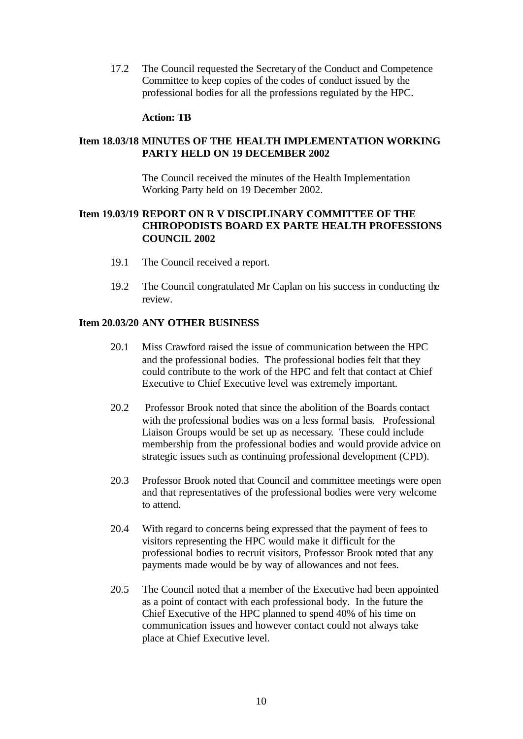17.2 The Council requested the Secretary of the Conduct and Competence Committee to keep copies of the codes of conduct issued by the professional bodies for all the professions regulated by the HPC.

#### **Action: TB**

# **Item 18.03/18 MINUTES OF THE HEALTH IMPLEMENTATION WORKING PARTY HELD ON 19 DECEMBER 2002**

The Council received the minutes of the Health Implementation Working Party held on 19 December 2002.

### **Item 19.03/19 REPORT ON R V DISCIPLINARY COMMITTEE OF THE CHIROPODISTS BOARD EX PARTE HEALTH PROFESSIONS COUNCIL 2002**

- 19.1 The Council received a report.
- 19.2 The Council congratulated Mr Caplan on his success in conducting the review.

#### **Item 20.03/20 ANY OTHER BUSINESS**

- 20.1 Miss Crawford raised the issue of communication between the HPC and the professional bodies. The professional bodies felt that they could contribute to the work of the HPC and felt that contact at Chief Executive to Chief Executive level was extremely important.
- 20.2 Professor Brook noted that since the abolition of the Boards contact with the professional bodies was on a less formal basis. Professional Liaison Groups would be set up as necessary. These could include membership from the professional bodies and would provide advice on strategic issues such as continuing professional development (CPD).
- 20.3 Professor Brook noted that Council and committee meetings were open and that representatives of the professional bodies were very welcome to attend.
- 20.4 With regard to concerns being expressed that the payment of fees to visitors representing the HPC would make it difficult for the professional bodies to recruit visitors, Professor Brook noted that any payments made would be by way of allowances and not fees.
- 20.5 The Council noted that a member of the Executive had been appointed as a point of contact with each professional body. In the future the Chief Executive of the HPC planned to spend 40% of his time on communication issues and however contact could not always take place at Chief Executive level.